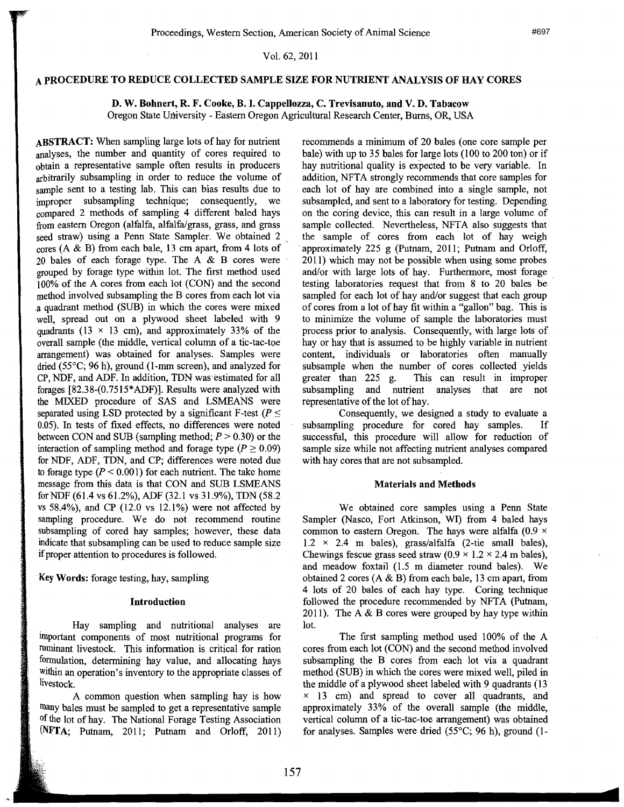# Vol. 62,2011

## A PROCEDURE TO REDUCE COLLECTED SAMPLE SIZE FOR NUTRIENT ANALYSIS OF HAY CORES

D. W. Bohnert, R. F. Cooke, B. I. Cappellozza, C. Trevisanuto, and V. D. Tabacow Oregon State University - Eastern Oregon Agricultural Research Center, Burns, OR, USA

ABSTRACT: When sampling large lots of hay for nutrient analyses, the number and quantity of cores required to obtain a representative sample often results in producers arbitrarily subsampling in order to reduce the volume of sample sent to a testing lab. This can bias results due to improper subsampling technique; consequently, we compared 2 methods of sampling 4 different baled hays from eastern Oregon (alfalfa, alfalfa/grass, grass, and grass seed straw) using a Penn State Sampler. We obtained 2 cores (A & B) from each bale, 13 cm apart, from 4 lots of 20 bales of each forage type. The A & B cores were grouped by forage type within lot. The first method used 100% of the A cores from each lot (CON) and the second method involved subsampling the B cores from each lot via a quadrant method (SUB) in which the cores were mixed well, spread out on a plywood sheet labeled with 9 quadrants (13  $\times$  13 cm), and approximately 33% of the overall sample (the middle, vertical column of a tic-tac-toe arrangement) was obtained for analyses. Samples were dried (55°C; 96 h), ground (1-mm screen), and analyzed for CP, NDF, and ADF. In addition, TDN was'estimated for all forages [82.38-(0.75l5\*ADF)). Results were analyzed with the MIXED procedure of SAS and LSMEANS were separated using LSD protected by a significant F-test ( $P \leq$ 0.05). In tests of fixed effects, no differences were noted between CON and SUB (sampling method;  $P > 0.30$ ) or the interaction of sampling method and forage type ( $P \ge 0.09$ ) for NDF, ADF, TDN, and CP; differences were noted due to forage type  $(P < 0.001)$  for each nutrient. The take home message from this data is that CON and SUB LSMEANS forNDF (61.4 vs 61.2%), ADF (32.1 vs 31.9%), TDN (58.2 vs 58.4%), and CP (12.0 vs 12.1%) were not affected by sampling procedure. We do not recommend routine subsampling of cored hay samples; however, these data indicate that subsampling can be used to reduce sample size if proper attention to procedures is followed.

*\_n'* 

Key Words: forage testing, hay, sampling

i

### Introduction

Hay sampling and nutritional analyses are important components of most nutritional programs for ruminant livestock. This information is critical for ration formulation, determining hay value, and allocating hays within an operation's inventory to the appropriate classes of livestock.

A common question when sampling hay is how many bales must be sampled to get a representative sample of the lot of hay. The National Forage Testing Association  $NFTA$ ; Putnam, 2011; Putnam and Orloff, 2011) recommends a minimum of 20 bales (one core sample per bale) with up to 35 bales for large lots (100 to 200 ton) or if hay nutritional quality is expected to be very variable. In addition, NFTA strongly recommends that core samples for each lot of hay are combined into a single sample, not subsampled, and sent to a laboratory for testing. Depending on the coring device, this can result in a large volume of sample collected. Nevertheless, NFTA also suggests that the sample of cores from each lot of hay weigh . approximately 225 g (Putnam, 2011; Putnam and Orloff, 2011) which may not be possible when using some probes and/or with large lots of hay. Furthermore, most forage testing laboratories request that from 8 to 20 bales be sampled for each lot of hay and/or suggest that each group of cores from a lot of hay fit within a "gallon" bag. This is to minimize the volume of sample the laboratories must process prior to analysis. Consequently, with large lots of hay or hay that is assumed to be highly variable in nutrient content, individuals or laboratories often manually subsample when the number of cores collected yields greater than 225 g. This can result in improper This can result in improper subsampling and nutrient analyses that are not representative of the lot of hay.

Consequently, we designed a study to evaluate a subsampling procedure for cored hay samples. If successful, this procedure will allow for reduction of sample size while not affecting nutrient analyses compared with hay cores that are not subsampled.

#### Materials and Methods

We obtained core samples using a Penn State Sampler (Nasco, Fort Atkinson, WI) from 4 baled hays common to eastern Oregon. The hays were alfalfa (0.9  $\times$  $1.2 \times 2.4$  m bales), grass/alfalfa (2-tie small bales), Chewings fescue grass seed straw  $(0.9 \times 1.2 \times 2.4 \text{ m} \text{ bales})$ , and meadow foxtail (1.5 m diameter round bales). We obtained 2 cores (A & B) from each bale, 13 cm apart, from 4 lots of 20 bales of each hay type. Coring technique followed the procedure recommended by NFTA (Putnam, 2011). The A  $\&$  B cores were grouped by hay type within lot.

The first sampling method used 100% of the A cores from each lot (CON) and the second method involved subsampling the B cores from each lot via a quadrant method (SUB) in which the cores were mixed well, piled in the middle of a plywood sheet labeled with 9 quadrants (13  $\times$  13 cm) and spread to cover all quadrants, and approximately 33% of the overall sample (the middle, vertical column of a tic-tac-toe arrangement) was obtained for analyses. Samples were dried  $(55^{\circ}C; 96 h)$ , ground (1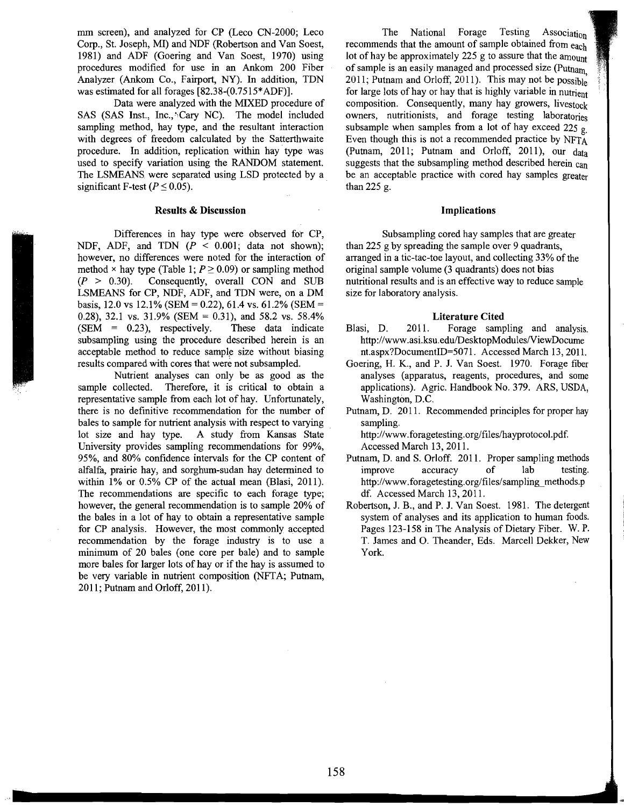mm screen), and analyzed for CP (Leco CN-2000; Leco Corp., St. Joseph, MI) and NDF (Robertson and Van Soest, 1981) and ADF (Goering and Van Soest, 1970) using procedures modified for use in an Ankom 200 Fiber Analyzer (Ankom Co., Fairport, NY). In addition, TDN was estimated for all forages [82.38-(0.7515\*ADF)].

Data were analyzed with the MIXED procedure of SAS (SAS Inst., Inc., Cary NC). The model included sampling method, hay type, and the resultant interaction with degrees of freedom calculated by the Satterthwaite procedure. In addition, replication within hay· type was used to specify variation using the RANDOM statement. The LSMEANS were separated using LSD protected by a significant F-test ( $P \le 0.05$ ).

#### Results & Discussion

Differences in hay type were observed for CP, NDF, ADF, and TDN  $(P < 0.001$ ; data not shown); however, no differences were noted for the interaction of method  $\times$  hay type (Table 1;  $P \ge 0.09$ ) or sampling method  $(P > 0.30)$ . Consequently, overall CON and SUB LSMEANS for CP, NDF, ADF, and TDN were, on a DM basis, 12.0 vs 12.1% (SEM = 0.22), 61.4 vs. 61.2% (SEM = 0.28), 32.1 vs. 31.9% (SEM = 0.31), and 58.2 vs. 58.4%  $(SEM = 0.23)$ , respectively. These data indicate subsampling using the procedure described herein is an acceptable method to reduce sample size without biasing results compared with cores that were not subsampled.

Nutrient analyses can only be as good as the sample collected. Therefore, it is critical to obtain a representative sample from each lot of hay. Unfortunately, there is no definitive recommendation for the number of bales to sample for nutrient analysis with respect to varying lot size and hay type. A study from Kansas State University provides sampling recommendations for 99%, 95%, and 80% confidence intervals for the CP content of alfalfa, prairie hay, and sorghum-sudan hay determined to within 1% or 0.5% CP of the actual mean (Blasi, 2011). The recommendations are specific to each forage type; however, the general recommendation is to sample 20% of the bales in a lot of hay to obtain a representative sample for CP analysis. However, the most commonly accepted recommendation by the forage industry is to use a minimum of 20 bales (one core per bale) and to sample more bales for larger lots of hay or if the hay is assumed to be very variable in nutrient composition (NFTA; Putnam, 2011; Putnam and Orloff, 2011).

The National Forage Testing Association recommends that the amount of sample obtained from each lot of hay be approximately 225 g to assure that the amount of sample is an easily managed and processed size (Putnam 2011; Putnam and Orloff, 2011). This may not be  $possible$ for large lots of hay or hay that is highly variable in nutrient composition. Consequently, many hay growers, livestock owners, nutritionists, and forage testing laboratories subsample when samples from a lot of hay exceed 225  $g$ . Even though this is not a recommended practice by NFTA (Putnam, 2011; Putnam and Orloff, 2011), our data suggests that the subsampling method described herein can be an acceptable practice with cored hay samples greater than 225 g.

#### Implications

Subsampling cored hay samples that are greater than 225 g by spreading the sample over 9 quadrants, arranged in a tic-tac-toe layout, and collecting 33% of the original sample volume (3 quadrants) does not bias nutritional results and is an effective way to reduce sample size for laboratory analysis.

#### Literature Cited

- Blasi, D. 2011. Forage sampling and analysis. http://www.asi.ksu.edu/DesktopModules/ViewDocume nt.aspx?DocumentID=5071. Accessed March 13,2011.
- Goering, H. K., and P. J. Van Soest. 1970. Forage fiber analyses (apparatus, reagents, procedures, and some applications). Agric. Handbook No. 379. ARS, USDA, Washington, D.C.
- Putnam, D. 2011. Recommended principles for proper hay sampling.

http://www.foragetesting.org/files/hayprotocol.pdf. Accessed March 13,2011.

- Putnam, D. and S. Orloff. 2011. Proper sampling methods improve accuracy of lab testing. http://www.foragetesting.org/files/sampling\_methods.p df. Accessed March 13,2011.
- Robertson, J. B., and P. J. Van Soest. 1981. The detergent system of analyses and its application to human foods. Pages 123-158 in The Analysis of Dietary Fiber. W. P. T. James and O. Theander, Eds. Marcell Dekker, New York.